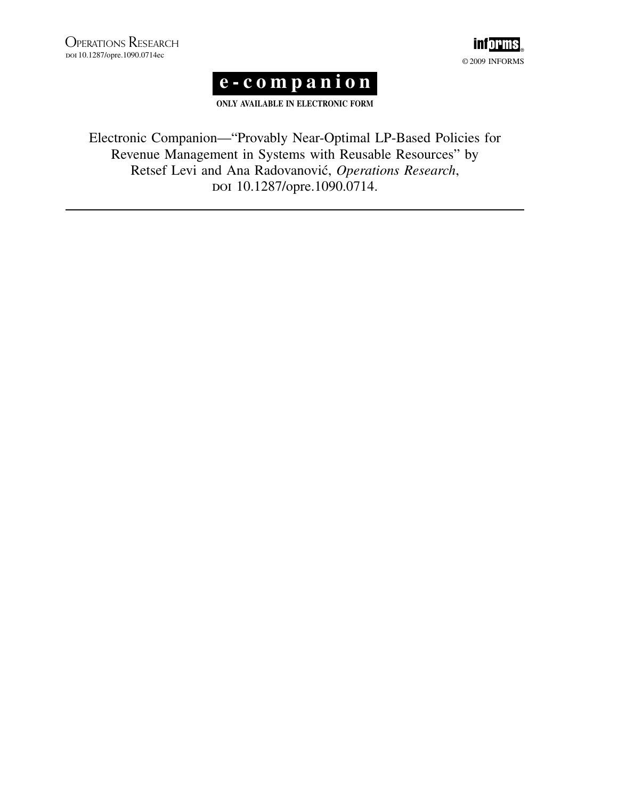



ONLY AVAILABLE IN ELECTRONIC FORM

Electronic Companion—"Provably Near-Optimal LP-Based Policies for Revenue Management in Systems with Reusable Resources" by Retsef Levi and Ana Radovanović, Operations Research, doi 10.1287/opre.1090.0714.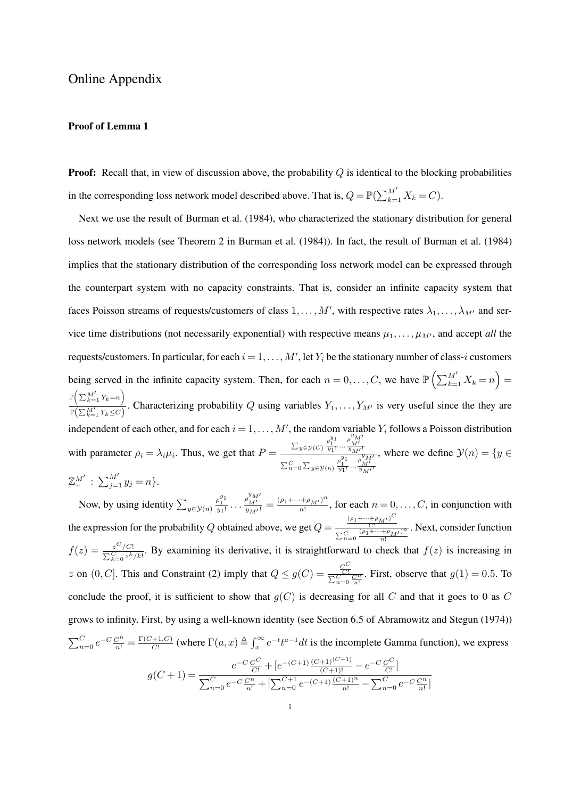## Online Appendix

## Proof of Lemma 1

**Proof:** Recall that, in view of discussion above, the probability  $Q$  is identical to the blocking probabilities in the corresponding loss network model described above. That is,  $Q = \mathbb{P}(\sum_{k=1}^{M}$  $\frac{M}{k=1} X_k = C.$ 

Next we use the result of Burman et al. (1984), who characterized the stationary distribution for general loss network models (see Theorem 2 in Burman et al. (1984)). In fact, the result of Burman et al. (1984) implies that the stationary distribution of the corresponding loss network model can be expressed through the counterpart system with no capacity constraints. That is, consider an infinite capacity system that faces Poisson streams of requests/customers of class  $1, \ldots, M'$ , with respective rates  $\lambda_1, \ldots, \lambda_{M'}$  and service time distributions (not necessarily exponential) with respective means  $\mu_1, \dots, \mu_{M'}$ , and accept *all* the requests/customers. In particular, for each  $i = 1, \ldots, M'$ , let  $Y_i$  be the stationary number of class-i customers being served in the infinite capacity system. Then, for each  $n = 0, \ldots, C$ , we have  $\mathbb{P}\left(\sum_{k=1}^{M}$  $\sum_{k=1}^{M} X_k = n$ ´ =  $\mathbb{P} \big( \sum_{k=1}^{M} Y_k = n \big)$  $\left(\nabla^{M'}\mathbf{v}_{-n}\right)$  $\frac{(-\lambda - 1)(\lambda - 1)}{\mathbb{P}(\sum_{k=1}^{M'} Y_k \leq C)}$ . Characterizing probability Q using variables  $Y_1, \ldots, Y_{M'}$  is very useful since the they are independent of each other, and for each  $i = 1, \ldots, M'$ , the random variable  $Y_i$  follows a Poisson distribution with parameter  $\rho_i = \lambda_i \mu_i$ . Thus, we get that  $P =$  $\sum_{y \in \mathcal{Y}(C)} \frac{\rho_1^{y_1}}{y_1!} \cdots \frac{\rho_M^{y_M'}}{y_M!}$  $\sum_{n=0}^{C} \sum_{y \in \mathcal{Y}(n)} \frac{\rho_1^{y_1}}{y_1!} \cdot \cdot \cdot \frac{\rho_M^{y_M}}{y_M!}$ , where we define  $\mathcal{Y}(n) = \{y \in \mathcal{Y}\}$  $\mathbb{Z}_{+}^{M'}$ :  $\sum_{j=1}^{M'} y_j = n$ .  $\bigcup^M$ 

Now, by using identity  $\sum_{y \in \mathcal{Y}(n)}$  $\frac{\rho_1^{y_1}}{y_1!} \dots \frac{\rho_{M'}^{y_{M'}}}{y_{M'}!} = \frac{(\rho_1 + \dots + \rho_{M'})^n}{n!}$  $\frac{(+\rho_{M'})}{n!}$ , for each  $n = 0, \ldots, C$ , in conjunction with the expression for the probability Q obtained above, we get  $Q =$  $(\rho_1 + \cdots + \rho_{M'})^C$  $\frac{C!}{\sum_{n=0}^{C} \frac{(\rho_1 + \cdots + \rho_M)}{n!}$ . Next, consider function  $f(z) = \frac{z^C/C!}{\sum_{k=0}^C z^k/k!}$ . By examining its derivative, it is straightforward to check that  $f(z)$  is increasing in z on  $(0, C]$ . This and Constraint (2) imply that  $Q \leq g(C) = \frac{C^C}{\sqrt{C}}$  $\frac{\overline{C!}}{\sum_{n=0}^{\infty} \frac{C^n}{n!}}$ . First, observe that  $g(1) = 0.5$ . To conclude the proof, it is sufficient to show that  $q(C)$  is decreasing for all C and that it goes to 0 as C grows to infinity. First, by using a well-known identity (see Section 6.5 of Abramowitz and Stegun (1974))  $\overline{\mathcal{C}}$  $_{n=0}^{C}e^{-C}\frac{C^{n}}{n!}=\frac{\Gamma(C+1,C)}{C!}$  $\frac{(-1, C)}{C!}$  (where  $\Gamma(a, x) \triangleq \int_x^{\infty}$  $\int_{x}^{\infty} e^{-t} t^{a-1} dt$  is the incomplete Gamma function), we express  $-C \nsubseteq C$ C  $-(C+1)\frac{(C+1)^{(C+1)}}{C+1}$  $-C \nsubseteq C$ C

$$
g(C+1) = \frac{e^{-C}\frac{C^{C}}{C!} + [e^{-(C+1)}\frac{(C+1)^{(C+1)}}{(C+1)!} - e^{-C}\frac{C^{C}}{C!}]}{\sum_{n=0}^{C}e^{-C}\frac{C^{n}}{n!} + [\sum_{n=0}^{C+1}e^{-(C+1)}\frac{(C+1)^{n}}{n!} - \sum_{n=0}^{C}e^{-C}\frac{C^{n}}{n!}]}
$$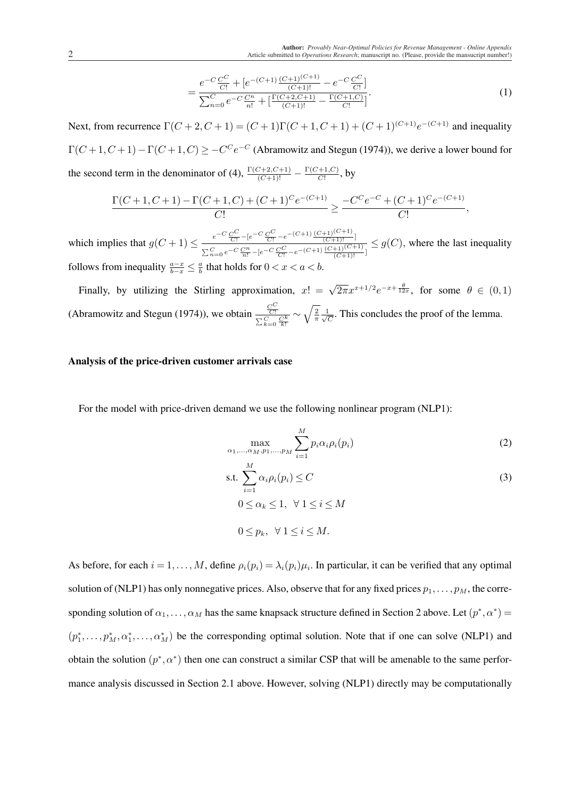$$
=\frac{e^{-C}\frac{C^C}{C!} + [e^{-(C+1)}\frac{(C+1)^{(C+1)}}{(C+1)!} - e^{-C}\frac{C^C}{C!}]}{\sum_{n=0}^C e^{-C}\frac{C^n}{n!} + [\frac{\Gamma(C+2,C+1)}{(C+1)!} - \frac{\Gamma(C+1,C)}{C!}]}.
$$
\n(1)

Next, from recurrence  $\Gamma(C+2, C+1) = (C+1)\Gamma(C+1, C+1) + (C+1)^{(C+1)}e^{-(C+1)}$  and inequality  $\Gamma(C+1, C+1) - \Gamma(C+1, C) \geq -C^C e^{-C}$  (Abramowitz and Stegun (1974)), we derive a lower bound for the second term in the denominator of (4),  $\frac{\Gamma(C+2,C+1)}{(C+1)!} - \frac{\Gamma(C+1,C)}{C!}$  $\frac{+1,C)}{C!}$ , by

$$
\frac{\Gamma(C+1,C+1) - \Gamma(C+1,C) + (C+1)^C e^{-(C+1)}}{C!} \ge \frac{-C^C e^{-C} + (C+1)^C e^{-(C+1)}}{C!},
$$

which implies that  $g(C+1) \le \frac{e^{-C} \frac{C^C}{C!} - [e^{-C} \frac{C^C}{C!} - e^{-(C+1)} \frac{(C+1)^{(C+1)}}{(C+1)!}]}{C}$  $\sum_{n=0}^{C} e^{-C} \frac{C^n}{n!} - \left[e^{-C} \frac{C^C}{C!} - e^{-\left(C+1\right)} \frac{\left(C+1\right)\left(C+1\right)}{\left(C+1\right)!}\right]$  $\leq$  g(C), where the last inequality follows from inequality  $\frac{a-x}{b-x} \leq \frac{a}{b}$  $\frac{a}{b}$  that holds for  $0 < x < a < b$ .

Finally, by utilizing the Stirling approximation,  $x! = \sqrt{2\pi}x^{x+1/2}e^{-x+\frac{\theta}{12x}}$ , for some  $\theta \in (0,1)$ (Abramowitz and Stegun (1974)), we obtain  $\frac{C^C}{C^C}$  $\frac{\overline{C!}}{\sum_{k=0}^{C}\frac{C^k}{k!}}$ ∼  $\sqrt{2}$  $rac{2}{\pi} \frac{1}{\sqrt{6}}$  $\frac{1}{\overline{C}}$ . This concludes the proof of the lemma.

## Analysis of the price-driven customer arrivals case

For the model with price-driven demand we use the following nonlinear program (NLP1):

$$
\max_{\alpha_1,\dots,\alpha_M, p_1,\dots,p_M} \sum_{i=1}^M p_i \alpha_i \rho_i(p_i)
$$
 (2)

s.t. 
$$
\sum_{i=1}^{M} \alpha_i \rho_i(p_i) \leq C
$$
  
\n
$$
0 \leq \alpha_k \leq 1, \ \forall \ 1 \leq i \leq M
$$
  
\n
$$
0 \leq p_k, \ \forall \ 1 \leq i \leq M.
$$
  
\n(3)

As before, for each  $i = 1, ..., M$ , define  $\rho_i(p_i) = \lambda_i(p_i) \mu_i$ . In particular, it can be verified that any optimal solution of (NLP1) has only nonnegative prices. Also, observe that for any fixed prices  $p_1, \ldots, p_M$ , the corresponding solution of  $\alpha_1, \ldots, \alpha_M$  has the same knapsack structure defined in Section 2 above. Let  $(p^*, \alpha^*)$  =  $(p_1^*, \ldots, p_M^*, \alpha_1^*, \ldots, \alpha_M^*)$  be the corresponding optimal solution. Note that if one can solve (NLP1) and obtain the solution  $(p^*, \alpha^*)$  then one can construct a similar CSP that will be amenable to the same performance analysis discussed in Section 2.1 above. However, solving (NLP1) directly may be computationally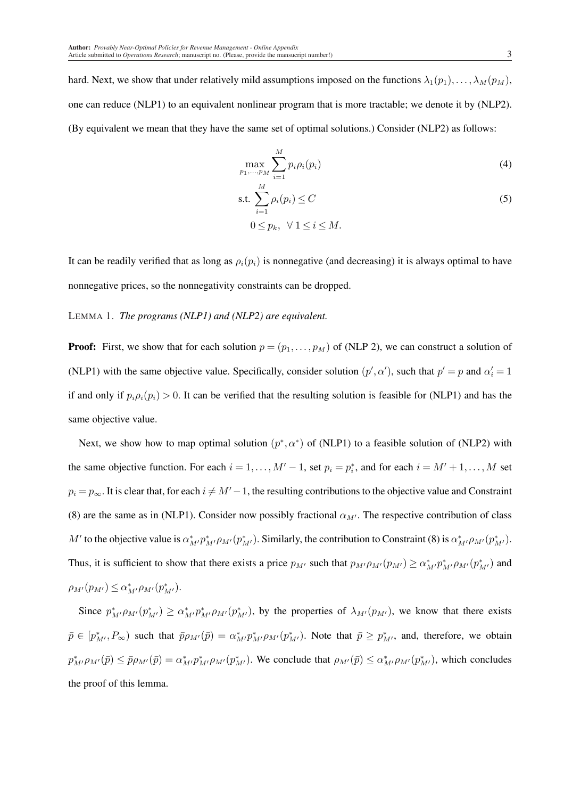hard. Next, we show that under relatively mild assumptions imposed on the functions  $\lambda_1(p_1), \ldots, \lambda_M(p_M)$ , one can reduce (NLP1) to an equivalent nonlinear program that is more tractable; we denote it by (NLP2). (By equivalent we mean that they have the same set of optimal solutions.) Consider (NLP2) as follows:

$$
\max_{p_1,\ldots,p_M} \sum_{i=1}^M p_i \rho_i(p_i) \tag{4}
$$

$$
\text{s.t.} \sum_{i=1}^{M} \rho_i(p_i) \le C \tag{5}
$$
\n
$$
0 \le n \quad \forall \ 1 \le i \le M
$$

 $0 \leq p_k, \ \ \forall \ 1 \leq i \leq M.$ 

It can be readily verified that as long as  $\rho_i(p_i)$  is nonnegative (and decreasing) it is always optimal to have nonnegative prices, so the nonnegativity constraints can be dropped.

LEMMA 1. *The programs (NLP1) and (NLP2) are equivalent.*

**Proof:** First, we show that for each solution  $p = (p_1, \ldots, p_M)$  of (NLP 2), we can construct a solution of (NLP1) with the same objective value. Specifically, consider solution  $(p', \alpha')$ , such that  $p' = p$  and  $\alpha'_i = 1$ if and only if  $p_i \rho_i(p_i) > 0$ . It can be verified that the resulting solution is feasible for (NLP1) and has the same objective value.

Next, we show how to map optimal solution  $(p^*, \alpha^*)$  of (NLP1) to a feasible solution of (NLP2) with the same objective function. For each  $i = 1, ..., M' - 1$ , set  $p_i = p_i^*$ , and for each  $i = M' + 1, ..., M$  set  $p_i = p_{\infty}$ . It is clear that, for each  $i \neq M'-1$ , the resulting contributions to the objective value and Constraint (8) are the same as in (NLP1). Consider now possibly fractional  $\alpha_{M'}$ . The respective contribution of class M' to the objective value is  $\alpha_{M'}^* p_{M'}^* \rho_{M'}(p_{M'}^*)$ . Similarly, the contribution to Constraint (8) is  $\alpha_{M'}^* \rho_{M'}(p_{M'}^*)$ . Thus, it is sufficient to show that there exists a price  $p_{M'}$  such that  $p_{M'}\rho_{M'}(p_{M'}) \ge \alpha_{M'}^*p_{M'}^* \rho_{M'}(p_{M'}^*)$  and  $\rho_{M'}(p_{M'}) \leq \alpha_{M'}^* \rho_{M'}(p_{M'}^*).$ 

Since  $p_{M}^* \rho_{M'}(p_{M'}^*) \ge \alpha_{M'}^* p_{M'}^* \rho_{M'}(p_{M'}^*)$ , by the properties of  $\lambda_{M'}(p_{M'})$ , we know that there exists  $\bar{p} \in [p_{M'}^*, P_{\infty})$  such that  $\bar{p}\rho_{M'}(\bar{p}) = \alpha_{M'}^* p_{M'}^* \rho_{M'}(p_{M'}^*)$ . Note that  $\bar{p} \ge p_{M'}^*$ , and, therefore, we obtain  $p_{M'}^* \rho_{M'}(\bar{p}) \le \bar{p} \rho_{M'}(\bar{p}) = \alpha_{M'}^* p_{M'}^* \rho_{M'}(p_{M'}^*)$ . We conclude that  $\rho_{M'}(\bar{p}) \le \alpha_{M'}^* \rho_{M'}(p_{M'}^*)$ , which concludes the proof of this lemma.